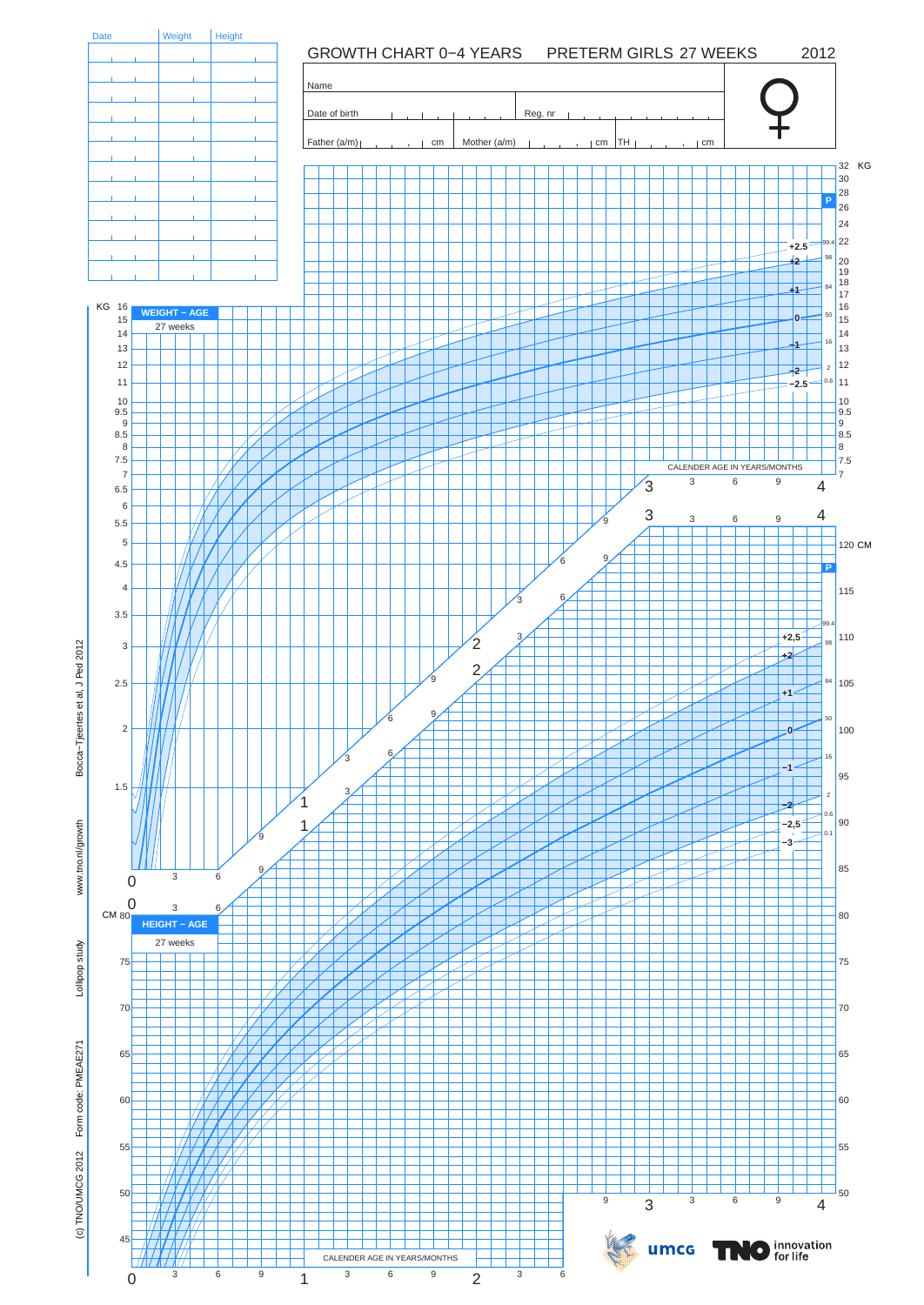